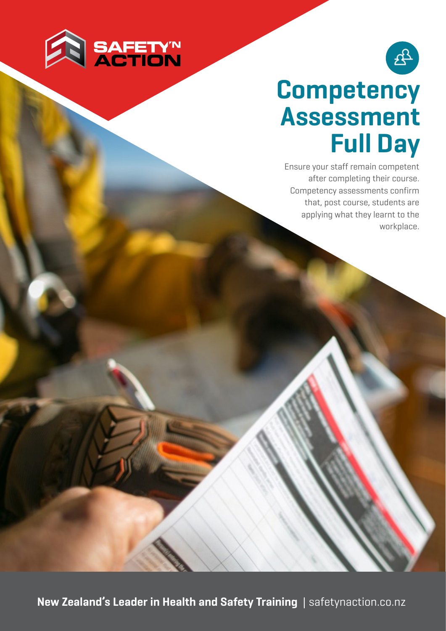



## **Competency Assessment Full Day**

Ensure your staff remain competent after completing their course. Competency assessments confirm that, post course, students are applying what they learnt to the workplace.